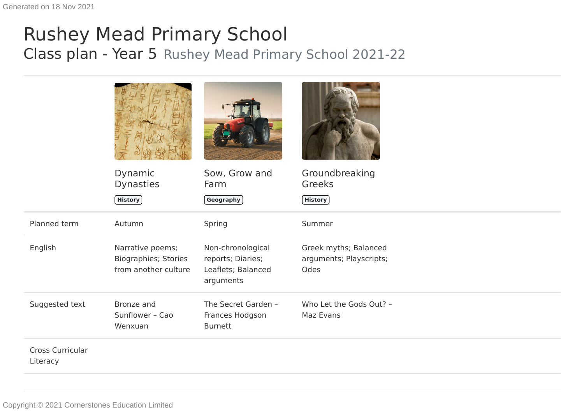## Rushey Mead Primary School Class plan - Year 5 Rushey Mead Primary School 2021-22

|                              | Dynamic<br><b>Dynasties</b><br>$($ History $)$                          | Sow, Grow and<br>Farm<br>$\left[$ Geography $\right]$                     | Groundbreaking<br>Greeks<br>$($ History $)$              |
|------------------------------|-------------------------------------------------------------------------|---------------------------------------------------------------------------|----------------------------------------------------------|
| Planned term                 | Autumn                                                                  | Spring                                                                    | Summer                                                   |
| English                      | Narrative poems;<br><b>Biographies; Stories</b><br>from another culture | Non-chronological<br>reports; Diaries;<br>Leaflets; Balanced<br>arguments | Greek myths; Balanced<br>arguments; Playscripts;<br>Odes |
| Suggested text               | Bronze and<br>Sunflower - Cao<br>Wenxuan                                | The Secret Garden -<br>Frances Hodgson<br><b>Burnett</b>                  | Who Let the Gods Out? -<br>Maz Evans                     |
| Cross Curricular<br>Literacy |                                                                         |                                                                           |                                                          |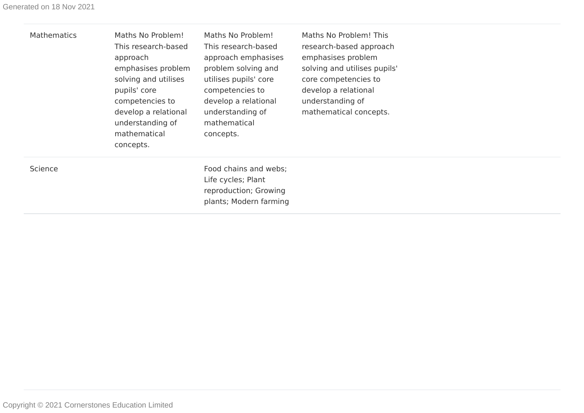| <b>Mathematics</b> | Maths No Problem!<br>This research-based<br>approach<br>emphasises problem<br>solving and utilises<br>pupils' core<br>competencies to<br>develop a relational<br>understanding of<br>mathematical<br>concepts. | Maths No Problem!<br>This research-based<br>approach emphasises<br>problem solving and<br>utilises pupils' core<br>competencies to<br>develop a relational<br>understanding of<br>mathematical<br>concepts. | Maths No Problem! This<br>research-based approach<br>emphasises problem<br>solving and utilises pupils'<br>core competencies to<br>develop a relational<br>understanding of<br>mathematical concepts. |  |
|--------------------|----------------------------------------------------------------------------------------------------------------------------------------------------------------------------------------------------------------|-------------------------------------------------------------------------------------------------------------------------------------------------------------------------------------------------------------|-------------------------------------------------------------------------------------------------------------------------------------------------------------------------------------------------------|--|
| Science            |                                                                                                                                                                                                                | Food chains and webs;<br>Life cycles; Plant<br>reproduction; Growing<br>plants; Modern farming                                                                                                              |                                                                                                                                                                                                       |  |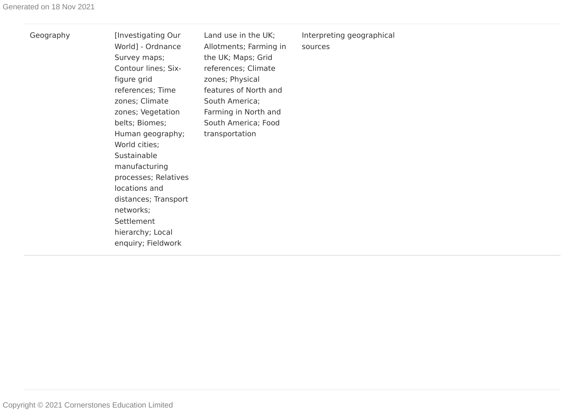|  |  | Geography |
|--|--|-----------|
|  |  |           |

[Investigating Our World] - Ordnance Survey maps; Contour lines; Sixfigure grid references; Time zones; Climate zones; Vegetation belts; Biomes; Human geography; World cities; **Sustainable** manufacturing processes; Relatives locations and distances; Transport networks; Settlement hierarchy; Local enquiry; Fieldwork Land use in the UK; Allotments; Farming in the UK; Maps; Grid references; Climate zones; Physical features of North and South America; Farming in North and South America; Food transportation

Interpreting geographical sources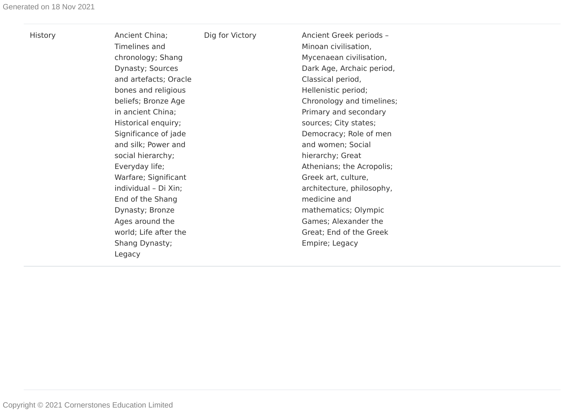| <b>History</b> | Ancient China;<br>Timelines and<br>chronology; Shang<br>Dynasty; Sources<br>and artefacts; Oracle<br>bones and religious<br>beliefs; Bronze Age<br>in ancient China;<br>Historical enquiry;<br>Significance of jade<br>and silk; Power and<br>social hierarchy;<br>Everyday life;<br>Warfare; Significant<br>individual - Di Xin;<br>End of the Shang<br>Dynasty; Bronze<br>Ages around the<br>world; Life after the<br>Shang Dynasty;<br>Legacy | Dig for Victory | Ancient Greek periods -<br>Minoan civilisation,<br>Mycenaean civilisation,<br>Dark Age, Archaic period,<br>Classical period,<br>Hellenistic period;<br>Chronology and timelines;<br>Primary and secondary<br>sources; City states;<br>Democracy; Role of men<br>and women; Social<br>hierarchy; Great<br>Athenians; the Acropolis;<br>Greek art, culture,<br>architecture, philosophy,<br>medicine and<br>mathematics; Olympic<br>Games; Alexander the<br>Great; End of the Greek<br>Empire; Legacy |
|----------------|--------------------------------------------------------------------------------------------------------------------------------------------------------------------------------------------------------------------------------------------------------------------------------------------------------------------------------------------------------------------------------------------------------------------------------------------------|-----------------|-----------------------------------------------------------------------------------------------------------------------------------------------------------------------------------------------------------------------------------------------------------------------------------------------------------------------------------------------------------------------------------------------------------------------------------------------------------------------------------------------------|
|----------------|--------------------------------------------------------------------------------------------------------------------------------------------------------------------------------------------------------------------------------------------------------------------------------------------------------------------------------------------------------------------------------------------------------------------------------------------------|-----------------|-----------------------------------------------------------------------------------------------------------------------------------------------------------------------------------------------------------------------------------------------------------------------------------------------------------------------------------------------------------------------------------------------------------------------------------------------------------------------------------------------------|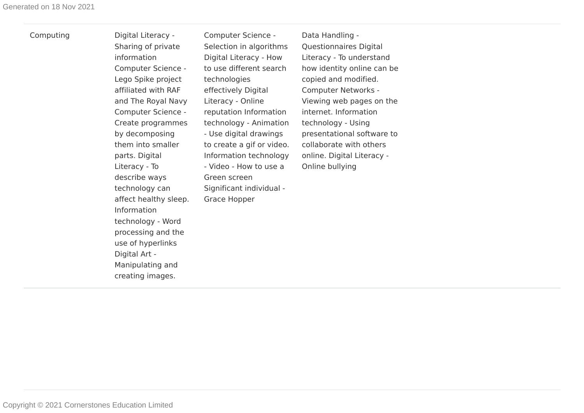## Computing Digital Literacy -

Sharing of private information Computer Science - Lego Spike project affiliated with RAF and The Royal Navy Computer Science - Create programmes by decomposing them into smaller parts. Digital Literacy - To describe ways technology can affect healthy sleep. Information technology - Word processing and the use of hyperlinks Digital Art - Manipulating and creating images.

Computer Science - Selection in algorithms Digital Literacy - How to use different search technologies effectively Digital Literacy - Online reputation Information technology - Animation - Use digital drawings to create a gif or video. Information technology - Video - How to use a Green screen Significant individual - Grace Hopper

Data Handling - Questionnaires Digital Literacy - To understand how identity online can be copied and modified. Computer Networks - Viewing web pages on the internet. Information technology - Using presentational software to collaborate with others online. Digital Literacy - Online bullying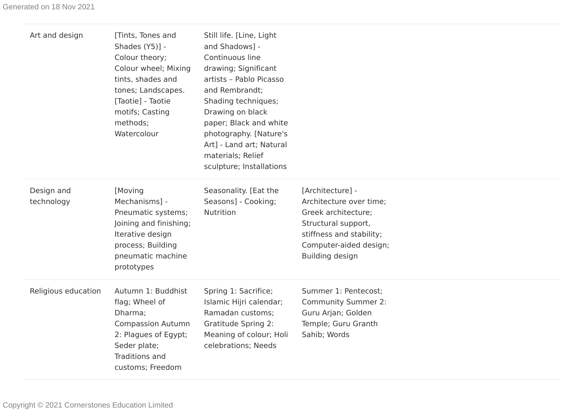| Art and design           | [Tints, Tones and<br>Shades (Y5)] -<br>Colour theory;<br>Colour wheel; Mixing<br>tints, shades and<br>tones; Landscapes.<br>[Taotie] - Taotie<br>motifs; Casting<br>methods;<br>Watercolour | Still life. [Line, Light<br>and Shadows] -<br>Continuous line<br>drawing; Significant<br>artists - Pablo Picasso<br>and Rembrandt;<br>Shading techniques;<br>Drawing on black<br>paper; Black and white<br>photography. [Nature's<br>Art] - Land art; Natural<br>materials; Relief<br>sculpture; Installations |                                                                                                                                                                    |
|--------------------------|---------------------------------------------------------------------------------------------------------------------------------------------------------------------------------------------|----------------------------------------------------------------------------------------------------------------------------------------------------------------------------------------------------------------------------------------------------------------------------------------------------------------|--------------------------------------------------------------------------------------------------------------------------------------------------------------------|
| Design and<br>technology | [Moving<br>Mechanisms] -<br>Pneumatic systems;<br>Joining and finishing;<br>Iterative design<br>process; Building<br>pneumatic machine<br>prototypes                                        | Seasonality. [Eat the<br>Seasons] - Cooking;<br>Nutrition                                                                                                                                                                                                                                                      | [Architecture] -<br>Architecture over time;<br>Greek architecture;<br>Structural support,<br>stiffness and stability;<br>Computer-aided design;<br>Building design |
| Religious education      | Autumn 1: Buddhist<br>flag; Wheel of<br>Dharma;<br><b>Compassion Autumn</b><br>2: Plagues of Egypt;<br>Seder plate;<br>Traditions and<br>customs; Freedom                                   | Spring 1: Sacrifice;<br>Islamic Hijri calendar;<br>Ramadan customs;<br><b>Gratitude Spring 2:</b><br>Meaning of colour; Holi<br>celebrations; Needs                                                                                                                                                            | Summer 1: Pentecost;<br><b>Community Summer 2:</b><br>Guru Arjan; Golden<br>Temple; Guru Granth<br>Sahib; Words                                                    |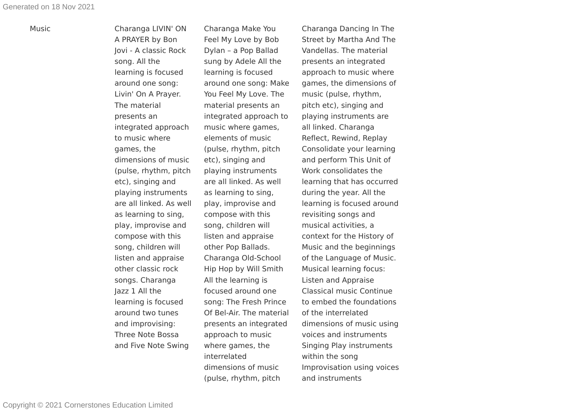Music Charanga LIVIN' ON A PRAYER by Bon Jovi - A classic Rock song. All the learning is focused around one song: Livin' On A Prayer. The material presents an integrated approach to music where games, the dimensions of music (pulse, rhythm, pitch etc), singing and playing instruments are all linked. As well as learning to sing, play, improvise and compose with this song, children will listen and appraise other classic rock songs. Charanga Jazz 1 All the learning is focused around two tunes and improvising: Three Note Bossa and Five Note Swing

Charanga Make You Feel My Love by Bob Dylan – a Pop Ballad sung by Adele All the learning is focused around one song: Make You Feel My Love. The material presents an integrated approach to music where games, elements of music (pulse, rhythm, pitch etc), singing and playing instruments are all linked. As well as learning to sing, play, improvise and compose with this song, children will listen and appraise other Pop Ballads. Charanga Old-School Hip Hop by Will Smith All the learning is focused around one song: The Fresh Prince Of Bel-Air. The material presents an integrated approach to music where games, the interrelated dimensions of music (pulse, rhythm, pitch

Charanga Dancing In The Street by Martha And The Vandellas. The material presents an integrated approach to music where games, the dimensions of music (pulse, rhythm, pitch etc), singing and playing instruments are all linked. Charanga Reflect, Rewind, Replay Consolidate your learning and perform This Unit of Work consolidates the learning that has occurred during the year. All the learning is focused around revisiting songs and musical activities, a context for the History of Music and the beginnings of the Language of Music. Musical learning focus: Listen and Appraise Classical music Continue to embed the foundations of the interrelated dimensions of music using voices and instruments Singing Play instruments within the song Improvisation using voices and instruments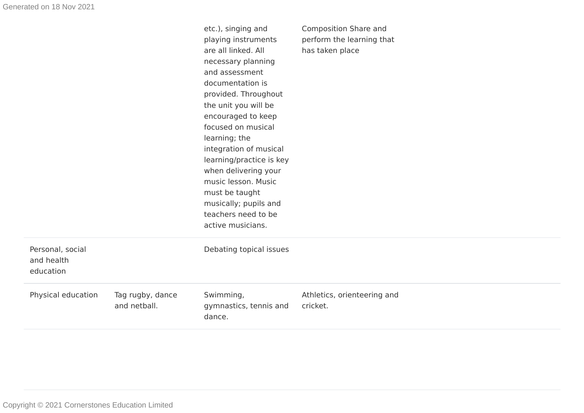| Personal, social<br>and health<br>education |                                  | etc.), singing and<br>playing instruments<br>are all linked. All<br>necessary planning<br>and assessment<br>documentation is<br>provided. Throughout<br>the unit you will be<br>encouraged to keep<br>focused on musical<br>learning; the<br>integration of musical<br>learning/practice is key<br>when delivering your<br>music lesson. Music<br>must be taught<br>musically; pupils and<br>teachers need to be<br>active musicians.<br>Debating topical issues | Composition Share and<br>perform the learning that<br>has taken place |
|---------------------------------------------|----------------------------------|------------------------------------------------------------------------------------------------------------------------------------------------------------------------------------------------------------------------------------------------------------------------------------------------------------------------------------------------------------------------------------------------------------------------------------------------------------------|-----------------------------------------------------------------------|
| Physical education                          | Tag rugby, dance<br>and netball. | Swimming,<br>gymnastics, tennis and<br>dance.                                                                                                                                                                                                                                                                                                                                                                                                                    | Athletics, orienteering and<br>cricket.                               |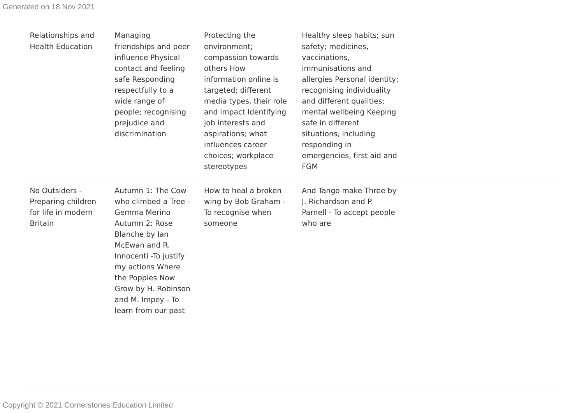| Relationships and<br><b>Health Education</b>                                 | Managing<br>friendships and peer<br>influence Physical<br>contact and feeling<br>safe Responding<br>respectfully to a<br>wide range of<br>people; recognising<br>prejudice and<br>discrimination                                                   | Protecting the<br>environment;<br>compassion towards<br>others How<br>information online is<br>targeted; different<br>media types, their role<br>and impact Identifying<br>job interests and<br>aspirations; what<br>influences career<br>choices; workplace<br>stereotypes | Healthy sleep habits; sun<br>safety; medicines,<br>vaccinations,<br>immunisations and<br>allergies Personal identity;<br>recognising individuality<br>and different qualities;<br>mental wellbeing Keeping<br>safe in different<br>situations, including<br>responding in<br>emergencies, first aid and<br><b>FGM</b> |  |
|------------------------------------------------------------------------------|----------------------------------------------------------------------------------------------------------------------------------------------------------------------------------------------------------------------------------------------------|-----------------------------------------------------------------------------------------------------------------------------------------------------------------------------------------------------------------------------------------------------------------------------|-----------------------------------------------------------------------------------------------------------------------------------------------------------------------------------------------------------------------------------------------------------------------------------------------------------------------|--|
| No Outsiders -<br>Preparing children<br>for life in modern<br><b>Britain</b> | Autumn 1: The Cow<br>who climbed a Tree -<br>Gemma Merino<br>Autumn 2: Rose<br>Blanche by lan<br>McEwan and R.<br>Innocenti - To justify<br>my actions Where<br>the Poppies Now<br>Grow by H. Robinson<br>and M. Impey - To<br>learn from our past | How to heal a broken<br>wing by Bob Graham -<br>To recognise when<br>someone                                                                                                                                                                                                | And Tango make Three by<br>J. Richardson and P.<br>Parnell - To accept people<br>who are                                                                                                                                                                                                                              |  |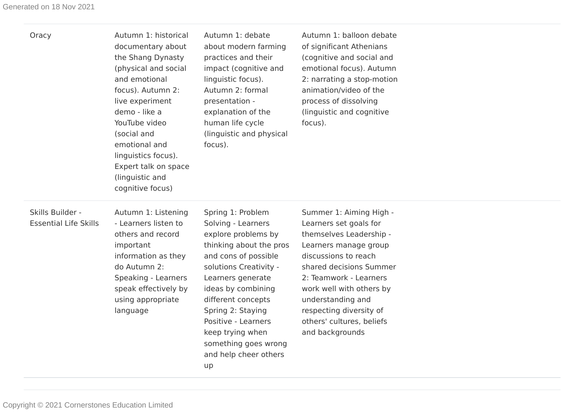| Oracy                                            | Autumn 1: historical<br>documentary about<br>the Shang Dynasty<br>(physical and social<br>and emotional<br>focus). Autumn 2:<br>live experiment<br>demo - like a<br>YouTube video<br>(social and<br>emotional and<br>linguistics focus).<br>Expert talk on space<br>(linguistic and<br>cognitive focus) | Autumn 1: debate<br>about modern farming<br>practices and their<br>impact (cognitive and<br>linguistic focus).<br>Autumn 2: formal<br>presentation -<br>explanation of the<br>human life cycle<br>(linguistic and physical<br>focus).                                                                                               | Autumn 1: balloon debate<br>of significant Athenians<br>(cognitive and social and<br>emotional focus). Autumn<br>2: narrating a stop-motion<br>animation/video of the<br>process of dissolving<br>(linguistic and cognitive<br>focus).                                                                         |  |
|--------------------------------------------------|---------------------------------------------------------------------------------------------------------------------------------------------------------------------------------------------------------------------------------------------------------------------------------------------------------|-------------------------------------------------------------------------------------------------------------------------------------------------------------------------------------------------------------------------------------------------------------------------------------------------------------------------------------|----------------------------------------------------------------------------------------------------------------------------------------------------------------------------------------------------------------------------------------------------------------------------------------------------------------|--|
| Skills Builder -<br><b>Essential Life Skills</b> | Autumn 1: Listening<br>- Learners listen to<br>others and record<br>important<br>information as they<br>do Autumn 2:<br>Speaking - Learners<br>speak effectively by<br>using appropriate<br>language                                                                                                    | Spring 1: Problem<br>Solving - Learners<br>explore problems by<br>thinking about the pros<br>and cons of possible<br>solutions Creativity -<br>Learners generate<br>ideas by combining<br>different concepts<br>Spring 2: Staying<br>Positive - Learners<br>keep trying when<br>something goes wrong<br>and help cheer others<br>up | Summer 1: Aiming High -<br>Learners set goals for<br>themselves Leadership -<br>Learners manage group<br>discussions to reach<br>shared decisions Summer<br>2: Teamwork - Learners<br>work well with others by<br>understanding and<br>respecting diversity of<br>others' cultures, beliefs<br>and backgrounds |  |